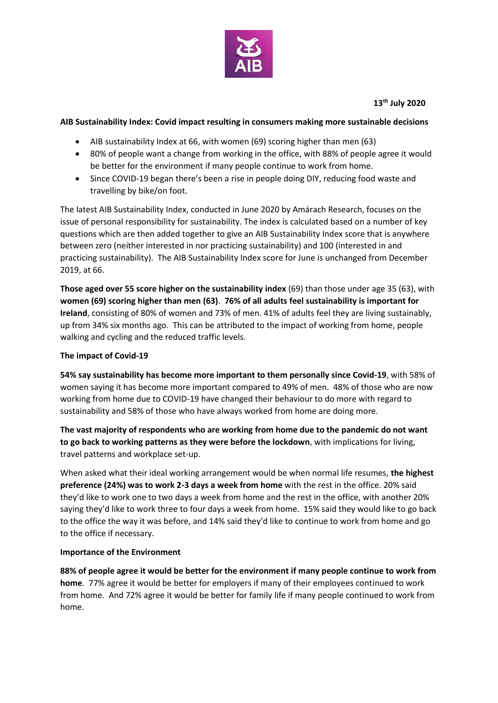

**13th July 2020**

## **AIB Sustainability Index: Covid impact resulting in consumers making more sustainable decisions**

- AIB sustainability Index at 66, with women (69) scoring higher than men (63)
- 80% of people want a change from working in the office, with 88% of people agree it would be better for the environment if many people continue to work from home.
- Since COVID-19 began there's been a rise in people doing DIY, reducing food waste and travelling by bike/on foot.

The latest AIB Sustainability Index, conducted in June 2020 by Amárach Research, focuses on the issue of personal responsibility for sustainability. The index is calculated based on a number of key questions which are then added together to give an AIB Sustainability Index score that is anywhere between zero (neither interested in nor practicing sustainability) and 100 (interested in and practicing sustainability). The AIB Sustainability Index score for June is unchanged from December 2019, at 66.

**Those aged over 55 score higher on the sustainability index** (69) than those under age 35 (63), with **women (69) scoring higher than men (63)**. **76% of all adults feel sustainability is important for Ireland**, consisting of 80% of women and 73% of men. 41% of adults feel they are living sustainably, up from 34% six months ago. This can be attributed to the impact of working from home, people walking and cycling and the reduced traffic levels.

## **The impact of Covid-19**

**54% say sustainability has become more important to them personally since Covid-19**, with 58% of women saying it has become more important compared to 49% of men. 48% of those who are now working from home due to COVID-19 have changed their behaviour to do more with regard to sustainability and 58% of those who have always worked from home are doing more.

**The vast majority of respondents who are working from home due to the pandemic do not want to go back to working patterns as they were before the lockdown**, with implications for living, travel patterns and workplace set-up.

When asked what their ideal working arrangement would be when normal life resumes, **the highest preference (24%) was to work 2-3 days a week from home** with the rest in the office. 20% said they'd like to work one to two days a week from home and the rest in the office, with another 20% saying they'd like to work three to four days a week from home. 15% said they would like to go back to the office the way it was before, and 14% said they'd like to continue to work from home and go to the office if necessary.

## **Importance of the Environment**

**88% of people agree it would be better for the environment if many people continue to work from home**. 77% agree it would be better for employers if many of their employees continued to work from home. And 72% agree it would be better for family life if many people continued to work from home.